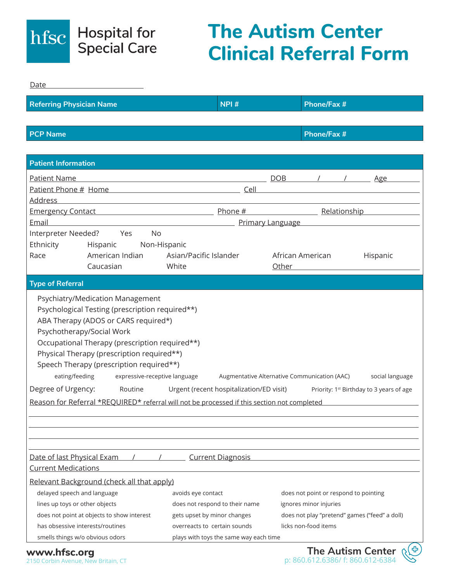

## **The Autism Center Clinical Referral Form**

| Date                                                                                                                                                                                                                                                                                                                                                                                                                                                                                                                                                                                                                                                        |                                                                                                                                                                                           |                                                                                                                                          |          |  |  |
|-------------------------------------------------------------------------------------------------------------------------------------------------------------------------------------------------------------------------------------------------------------------------------------------------------------------------------------------------------------------------------------------------------------------------------------------------------------------------------------------------------------------------------------------------------------------------------------------------------------------------------------------------------------|-------------------------------------------------------------------------------------------------------------------------------------------------------------------------------------------|------------------------------------------------------------------------------------------------------------------------------------------|----------|--|--|
| <b>Referring Physician Name</b>                                                                                                                                                                                                                                                                                                                                                                                                                                                                                                                                                                                                                             | NPI#                                                                                                                                                                                      | <b>Phone/Fax #</b>                                                                                                                       |          |  |  |
|                                                                                                                                                                                                                                                                                                                                                                                                                                                                                                                                                                                                                                                             |                                                                                                                                                                                           |                                                                                                                                          |          |  |  |
| <b>PCP Name</b>                                                                                                                                                                                                                                                                                                                                                                                                                                                                                                                                                                                                                                             |                                                                                                                                                                                           | <b>Phone/Fax #</b>                                                                                                                       |          |  |  |
|                                                                                                                                                                                                                                                                                                                                                                                                                                                                                                                                                                                                                                                             |                                                                                                                                                                                           |                                                                                                                                          |          |  |  |
| <b>Patient Information</b>                                                                                                                                                                                                                                                                                                                                                                                                                                                                                                                                                                                                                                  |                                                                                                                                                                                           |                                                                                                                                          |          |  |  |
| Patient Name                                                                                                                                                                                                                                                                                                                                                                                                                                                                                                                                                                                                                                                | <u>DOB</u> / / <u>Age</u>                                                                                                                                                                 |                                                                                                                                          |          |  |  |
|                                                                                                                                                                                                                                                                                                                                                                                                                                                                                                                                                                                                                                                             |                                                                                                                                                                                           |                                                                                                                                          |          |  |  |
| <b>Address</b><br><u> 1989 - Johann Stein, mars an deus an deus an deus an deus an deus an deus an deus an deus an deus an deus an</u>                                                                                                                                                                                                                                                                                                                                                                                                                                                                                                                      |                                                                                                                                                                                           |                                                                                                                                          |          |  |  |
| Emergency Contact <b>Emergency Contact Contact Emergency Contact Contact Contact Contact Contact Contact Contact Contact Contact Contact Contact Contact Contact Contact Contact Contact Con</b>                                                                                                                                                                                                                                                                                                                                                                                                                                                            |                                                                                                                                                                                           |                                                                                                                                          |          |  |  |
| Email<br><u> 1989 - Johann Barbara, martxa alemaniar arg</u>                                                                                                                                                                                                                                                                                                                                                                                                                                                                                                                                                                                                | Primary Language Manuscripture and the Primary Language                                                                                                                                   |                                                                                                                                          |          |  |  |
| Interpreter Needed? Yes<br><b>No</b><br>Ethnicity<br>Hispanic Non-Hispanic                                                                                                                                                                                                                                                                                                                                                                                                                                                                                                                                                                                  |                                                                                                                                                                                           |                                                                                                                                          |          |  |  |
| American Indian<br>Race                                                                                                                                                                                                                                                                                                                                                                                                                                                                                                                                                                                                                                     | Asian/Pacific Islander                                                                                                                                                                    | African American                                                                                                                         | Hispanic |  |  |
| Caucasian                                                                                                                                                                                                                                                                                                                                                                                                                                                                                                                                                                                                                                                   | White                                                                                                                                                                                     | Other and the contract of the contract of the contract of the contract of the contract of the contract of the                            |          |  |  |
| <b>Type of Referral</b>                                                                                                                                                                                                                                                                                                                                                                                                                                                                                                                                                                                                                                     |                                                                                                                                                                                           |                                                                                                                                          |          |  |  |
| Psychiatry/Medication Management<br>Psychological Testing (prescription required**)<br>ABA Therapy (ADOS or CARS required*)<br>Psychotherapy/Social Work<br>Occupational Therapy (prescription required**)<br>Physical Therapy (prescription required**)<br>Speech Therapy (prescription required**)<br>eating/feeding<br>expressive-receptive language<br>Augmentative Alternative Communication (AAC)<br>social language<br>Degree of Urgency: Routine<br>Urgent (recent hospitalization/ED visit)<br>Priority: 1 <sup>st</sup> Birthday to 3 years of age<br>Reason for Referral *REQUIRED* referral will not be processed if this section not completed |                                                                                                                                                                                           |                                                                                                                                          |          |  |  |
| Date of last Physical Exam<br><b>Current Medications</b><br>Relevant Background (check all that apply)<br>delayed speech and language<br>lines up toys or other objects<br>does not point at objects to show interest<br>has obsessive interests/routines<br>smells things w/o obvious odors                                                                                                                                                                                                                                                                                                                                                                | <b>Current Diagnosis</b><br>avoids eye contact<br>does not respond to their name<br>gets upset by minor changes<br>overreacts to certain sounds<br>plays with toys the same way each time | does not point or respond to pointing<br>ignores minor injuries<br>does not play "pretend" games ("feed" a doll)<br>licks non-food items |          |  |  |

2150 Corbin Avenue, New Britain, CT